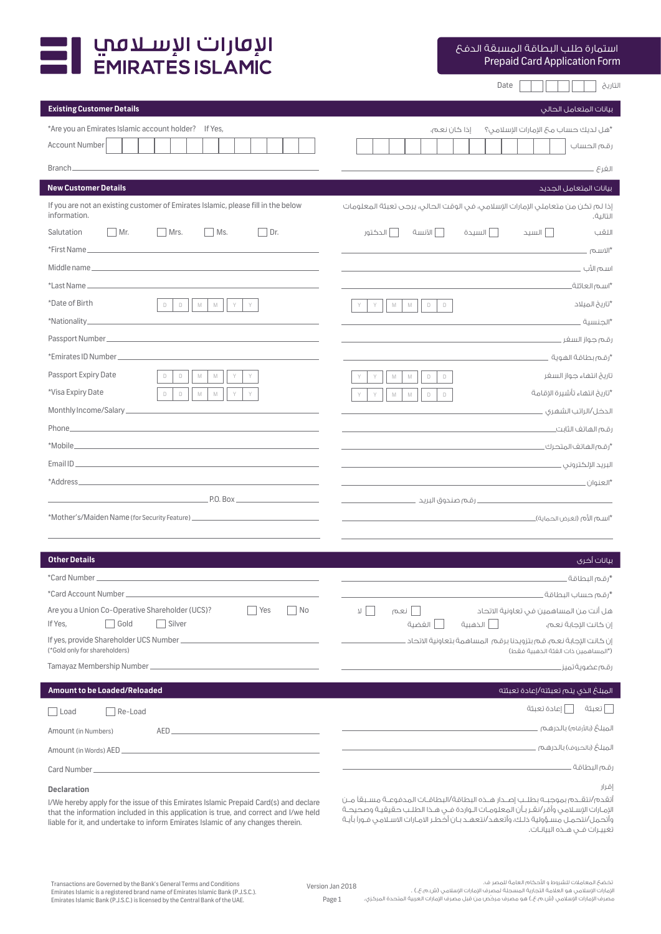

Prepaid Card Application Form استمارة طلب البطاقة المسبقة الدفع

التاريخ Date

| Existing Customer Details |  |  |
|---------------------------|--|--|
|                           |  |  |

| Existing Customer Details                                                                                                                                                                                                            | بيانات المتعامل الحالى                                                                                       |
|--------------------------------------------------------------------------------------------------------------------------------------------------------------------------------------------------------------------------------------|--------------------------------------------------------------------------------------------------------------|
| *Are you an Emirates Islamic account holder? If Yes,                                                                                                                                                                                 | *هل لديك حساب محَ الإمارات الإسلامى؟<br>إذا كان نعم،                                                         |
| <b>Account Number</b>                                                                                                                                                                                                                | رقم الحساب                                                                                                   |
| Branch_                                                                                                                                                                                                                              | الغرع _                                                                                                      |
| <b>New Customer Details</b>                                                                                                                                                                                                          | بيانات المتعامل الجديد                                                                                       |
| If you are not an existing customer of Emirates Islamic, please fill in the below<br>information.                                                                                                                                    | إذا لم تكن من متعاملي الإمارات الإسلامي، في الوقت الحالي، يرجى تعبئة المعلومات<br>التالىة.                   |
| Ms.<br>Salutation<br>$Mr$ .<br>Mrs.<br>Dr.                                                                                                                                                                                           | ا الآنسة<br>ا الدكتور<br>السىدة<br>  السيد<br>اللقب                                                          |
| *First Name_                                                                                                                                                                                                                         | "الاسم                                                                                                       |
| Middle name                                                                                                                                                                                                                          | the control of the control of the control of the<br>اسم الأب                                                 |
| *Last Name_                                                                                                                                                                                                                          | *اسم العائلة_                                                                                                |
| *Date of Birth<br>$\Box$<br>$\mathbb{M}$<br>$\mathbb M$<br>$\Box$<br>Y                                                                                                                                                               | *تاریخ المیلاد<br>$\Box$<br>$\mathbb M$<br>$\mathbb M$<br>$\Box$<br>Y                                        |
| *Nationality_<br>the control of the control of the control of the control of the control of                                                                                                                                          | *الجنسية                                                                                                     |
| Passport Number_                                                                                                                                                                                                                     | رقم جواز السفر _                                                                                             |
|                                                                                                                                                                                                                                      | *رقم بطاقة الهوية                                                                                            |
| Passport Expiry Date<br>$\Box$<br>$\Box$<br>$\mathbb M$<br>$\mathbb M$                                                                                                                                                               | تاريخ انتهاء جواز السفر<br>$\mathbb M$<br>$\Box$<br>$\Box$<br>Y<br>M                                         |
| *Visa Expiry Date<br>$\Box$<br>$\Box$<br>M<br>$\mathbb M$<br>Y                                                                                                                                                                       | *تاريخ انتهاء تأشيرة الاقامة<br>Y<br>$\mathbb M$<br>$\Box$<br>$\Box$<br>Y<br>M                               |
| Monthly Income/Salary_                                                                                                                                                                                                               | الدخل/الراتب الشهرى ____                                                                                     |
| Phone <b>Experience and Contract Contract Contract Contract Contract Contract Contract Contract Contract Contract Contract Contract Contract Contract Contract Contract Contract Contract Contract Contract Contract Contract Co</b> | رقم الهاتف الثابت                                                                                            |
| *Mobile_                                                                                                                                                                                                                             |                                                                                                              |
| Email ID<br>the control of the control of the control of the control of the control of the control of                                                                                                                                |                                                                                                              |
| *Address_                                                                                                                                                                                                                            |                                                                                                              |
| $P.0. \text{Box}$                                                                                                                                                                                                                    |                                                                                                              |
| *Mother's/Maiden Name (for Security Feature) ___________________________________                                                                                                                                                     |                                                                                                              |
|                                                                                                                                                                                                                                      |                                                                                                              |
| <b>Other Details</b>                                                                                                                                                                                                                 | بيانات أخرى                                                                                                  |
| *Card Number                                                                                                                                                                                                                         | *رقم البطاقة.                                                                                                |
|                                                                                                                                                                                                                                      | *رقم حساب البطاقة.                                                                                           |
| Are you a Union Co-Operative Shareholder (UCS)?<br>Yes<br>No<br>Gold<br>Silver<br>If Yes,                                                                                                                                            | نعم<br>$\neg$<br>هل أنت من المساهمين في تعاونية الاتحاد<br>×.<br>ا الذهبية<br>الفضية<br>إن كانت الإجابة نعم، |
| If yes, provide Shareholder UCS Number_<br>(*Gold only for shareholders)                                                                                                                                                             | إن كانت الإجابة نعم، قم بتزويدنا برقم المساهمة بتعاونية الاتحاد ـ<br>(*المساهمين ذات الفئة الذهبية فقط)      |
| Tamayaz Membership Number_<br><u> 1980 - Jan James James Barnett, martin et al. 19</u>                                                                                                                                               | رقم عضوية تميز ـ                                                                                             |
| Amount to be Loaded/Reloaded                                                                                                                                                                                                         | المبلغ الذى يتم تعبئته/إعادة تعبئته                                                                          |
| Re-Load<br>Load                                                                                                                                                                                                                      | اعادة تعبئة<br>ا تعبئة                                                                                       |
| Amount (in Numbers)                                                                                                                                                                                                                  | المبلغ (بالأرقام) بالدرهم                                                                                    |
| Amount (in Words) AED _<br>the control of the control of the control of the control of the control of the control of                                                                                                                 |                                                                                                              |
| Card Number_                                                                                                                                                                                                                         | the control of the control of the control of the control of the control of the control of<br>رقم البطاقة .   |
| <b>Declaration</b>                                                                                                                                                                                                                   | إقرار                                                                                                        |

إقرار

أتقدم/نتقــدم بموجبــه بطلــب إصــدار هــذه البطاقة/البطاقــات المدفوعــة مســبقًا مــن ـ اإلمـارات اإلسـامي وأقر/نقـر بـأن المعلومـات الـواردة فـي هـذا الطلـب حقيقيـة وصحيحـة ـ وأتحمل/نتحمـل مسـؤولية ذلـك، وأتعهد/نتعهـد بـان أخطـر االمـارات االسـامي فـورًا بأيـة تغييـرات فـي هـذه البيانـات.

I/We hereby apply for the issue of this Emirates Islamic Prepaid Card(s) and declare that the information included in this application is true, and correct and I/we held liable for it, and undertake to inform Emirates Islamic of any changes therein.

مصرف الإمارات الإسلامي (ش.م.ع.) هو مصرف مرخّص من قبل مصرف الإمارات العربية المتحدة المركزي.